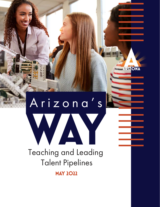# Teaching and Leading Talent Pipelines Arizona's **WAY**

ARIZONA

**MAY 2022**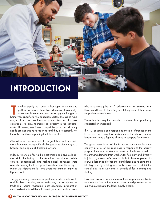# **INTRODUCTION**

eacher supply has been a hot topic in policy and politics for more than two decades. Historically, advocates have framed teacher supply challenges as eacher supply has been a hot topic in policy and politics for more than two decades. Historically, advocates have framed teacher supply challenges as being very specific to the education sector. The issues have ranged from the readiness of young teachers for real classrooms, to pay, to improving diversity in the educator ranks. However, readiness, competitive pay, and diversity needs are not unique to teaching and they are certainly not the only conditions impacting the labor market.

After all, educators are part of a larger labor pool and now, more than ever, job-specific challenges have given way to a broader sociological shift related to work.

Indeed, America is facing the most unique and diverse labor market in the history of the American workforce<sup>1</sup>. While cultural, generational, and technological advances were already pushing the labor pool towards where it is today, a switch was flipped the last two years that cannot simply be flipped back.

The gig economy; demands for part time work, remote work, and flexible schedules; career switchers; and a rejection of traditional norms regarding post-secondary preparation must be dealt with to fill employment gaps and retain workers who take these jobs. K-12 education is not isolated from these conditions. In fact, they are taking direct hits in labor supply because of them.

These hurdles require broader solutions than previously suggested or embraced.

If K-12 education can respond to these preferences in the labor pool in a way that makes sense for schools, school leaders will have a fighting chance to compete for workers.

The good news in all of this is that Arizona may lead the country in terms of our readiness to respond to the narrow preparation model most schools use to staff schools as well as the growing demand from workers for flexibility and diversity in job assignments. We have tools that allow employers to recruit a larger pool of teacher candidates and to bring them into high quality training in schools as well as to rethink the school day in a way that is beneficial for learning and staffing.

However, we are not maximizing these opportunities. To do so, there are four actions that Arizona should pursue to assert our own solutions to the labor supply puzzle.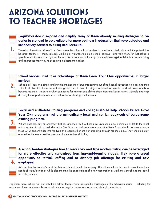# **ARIZONA SOLUTIONS TO TEACHER SHORTAGES**

### **Legislators should expand and amplify many of these already existing strategies to be easier to use; and to be available for more positions in education that have outdated and unnecessary barriers to hiring and licensure.**

These locally-initiated Grow Your Own strategies allow school leaders to recruit educated adults with the potential to be great teachers – many already working or volunteering on a school campus - and train them for that school's specific educational model right on the local K-12 campus. In this way, future educators get real-life, hands-on training and apprentice their way to becoming a classroom teacher.

### **School leaders must take advantage of these Grow Your Own opportunities in larger numbers.**

Schools still lean on a single and insufficient pipeline of students coming out of traditional education colleges and then voice frustration that there are not enough teachers to hire. Casting a wide net for talented and educated adults to become teachers is important when competing for talent in one of the tightest labor markets in history. Schools must help diversify the opportunity to become a teacher or shortages will remain.

### **Local and multi-state training programs and colleges should help schools launch Grow Your Own programs that are authentically local and not just copy-cats of burdensome existing programs.**

Where possible, any bureaucracy that has attached itself to these new laws should be eliminated or left to the local school systems to add at their discretion. The State and their regulatory arm at the State Board should not over manage these GYO opportunities into the type of programs that are not attracting enough teachers now. They should simply ensure that there are positive outcomes for students and staffing.

| ٠<br>۰<br>۰<br>_____ |
|----------------------|
| 4                    |
|                      |

**1.**

**2.**

**3.**

### **As school leaders strategize how Arizona's new seat time modernization can be leveraged for more effective and customized teaching-and-learning models, they have a great opportunity to rethink staffing and to diversify job offerings for existing and new employees.**

Arizona has the country's most flexible seat time statute in the country. This allows school leaders to meet the unique needs of today's students while also meeting the expectations of a new generation of workers. School leaders should seize the moment.

Together, these actions will not only help school leaders with job-specific challenges in the education space – including the readiness of new teachers – but also help them strategize access to a larger and changing workforce.

#### **ARIZONA'S WAY: TEACHING AND LEADING TALENT PIPELINES, MAY 2022**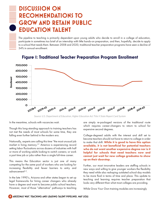# **DISCUSSION ON RECOMMENDATIONS TO GROW AND RETAIN PUBLIC EDUCATION TALENT**

The pipeline to teaching is primarily dependent upon young adults who decide to enroll in a college of education, participate in sometimes too brief of an internship with little hands-on preparation, and then, hopefully, decide to apply to a school that needs them. Between 2008 and 2020, traditional teacher preparation programs have seen a decline of 34% in annual enrollment.



## **Figure 1: Traditional Teacher Preparation Program Enrollment**

*Source: U.S. Department of Education, Higher Education Act Title II State Report Card System*

In the meantime, schools with vacancies wait.

Though this long-standing approach to training teachers has not met the needs of most schools for some time, they are falling even further behind in the modern era.

Nationally, experts are calling this time "the most unusual job market in living memory.<sup>2</sup> " America is experiencing record setting labor fluctuations across dozens of industries with half or more of working adults looking to switch careers; or work a part time job or jobs rather than a single full-time career.

This means the Education sector is just one of many competing for the same pool of workers who are looking for increasing flexibility and fewer barriers to entry and advancement3,4 .

In the late 1990's, Arizona and other states began to set up legal frameworks for hiring career changers who already have a degree and want to become public-school teachers. However, most of those "alternative" pathways to teaching

are simply re-packaged versions of the traditional route which requires career-changers to return to school for expensive second degrees.

College-degreed adults with the interest and skill set to become teachers should not have to return to college in order to make that shift. While it is good to have this option available, it is not beneficial for potential teachers who do not want another expensive degree nor is it helpful for schools that need teachers now and cannot just wait for new college graduates to show up on their doorstep.

Further, our most innovative leaders are staffing schools in new ways and willing to give younger workers the flexibility they need while also reshaping outdated school-day models to be more fluid in terms of time and place. This update to teaching and learning requires teacher preparation that looks very different than what most colleges are providing.

While Grow Your Own training modules are increasingly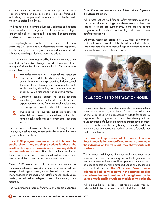common in the private sector, workforce updates in public education have been slow going due to old legal frameworks authorizing narrow preparation models or political resistance to those who prefer the old way.

With the need to diversify the education workplace and adapt to the expectations of a new generation of workers, such strategies are critical tools for schools to fill long and short-term staffing needs on school campuses now.

Not surprisingly, Arizona has modeled some of the most promising GYO strategies. Our desert state has the opportunity to fully leverage local training of teachers and school leaders to fill vacancies with qualified and motivated adults.

In 2017, S.B.1042 was approved by the Legislature and a new era of Grow Your Own strategies provided thousands of new and qualified teachers for Arizona's schools<sup>5</sup>. The package of reform allowed for:

- Embedded training at a K-12 school site, versus just coursework, for adults already with a college degree, and for that training to be provided by the local school. These teachers-in-training can earn a state license to teach once they show they can get results with their students. This is a higher bar than traditional routes. **1.**
- Confirmed content experts to begin teaching immediately in schools that want to hire them. These experts receive training from their local employer and have two years to complete other state requirements. **2.**
- True reciprocity for qualified out-of-state teachers to enter Arizona classrooms immediately rather than having to take additional coursework before teaching students. **3.**

These cohorts of educators receive needed training from their employers, local colleges, or both at the discretion of the school system that employs them.

These GYO programs are not required to be used by public schools. They are simply options for those who use them to improve the readiness of incoming staff, fill vacant positions or both. These laws make it possible for them to recruit from a pool of workers with college degrees who want to teach but did not get their first degree in education.

These 2017 reforms not only increased the number of certificated educators available to teach in Arizona, but they also provided targeted strategies that allow school leaders to be more engaged in managing their staffing needs locally versus waiting for education colleges to send them enough new teachers.

The two promising programs from these laws are the Classroom

Based Preparation Model and the Subject Matter Experts in the Classroom option.

While these options hold firm on safety requirements such as background checks and fingerprint clearance cards, they allow schools to create less cumbersome, more effective training programs on the mechanics of teaching and to earn a state certificate as a result.

Otherwise, most school districts are 100% reliant on universities to fill their talent vacancies. This also allows effective charter school teachers who have received high quality training to earn their teaching certificate if they so choose.



**CLASSROOM BASED PREPARATION MODEL**

The Classroom Based Preparation model allows degree-holding adults to be trained right in the K-12 classroom rather than having to go back for a postsecondary institute for expensive degree earning programs. This preparation strategy not only takes advantage of educated teaching talent already on campus who are likely from the neighboring community and have acquired classroom tools, it is much faster and affordable than the traditional route.

#### The most striking feature of Arizona's Classroom Based model is that the certificate cannot be granted to the individual on this track until they show results with students.

This is above and beyond the traditional preparation track. Success in the classroom is not required for the large majority of teachers who come thru the traditional preparation pathway via colleges of education. Nor is extended hands-on experience in an actual classroom. The Classroom Based model addresses both of these flaws in the existing pipeline and allows leaders to customize training based on the unique needs and instructional models of their schools.

While going back to college is not required under this law, individual districts can require it as part of their local model.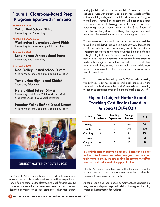# **Figure 2: Classroom-Based Prep Programs Approved in Arizona**

**Approved in 2018**

**Vail Unified School District** Elementary and Secondary

#### **Approved in 2020 & 2021**

**Washington Elementary School District** Elementary & Elementary Special Education

#### **Approved in 2021**

**Lake Havasu Unified School District** Elementary and Secondary

#### **Approved in 2022**

#### **Deer Valley Unified School District**

Mild to Moderate Disabilities Special Education

**Yuma Union High School District** Secondary Education

#### **Mesa Unified School District**

Elementary and Early Childhood and Mild to Moderate Disabilities Special Education

#### **Paradise Valley Unified School District**

Mild to Moderate Disabilities Special Education



**SUBJECT MATTER EXPERTS TRACK** 

The Subject Matter Experts Track addressed limitations in prior options to allow college educated workers with an expertise in a certain field to come into the classroom to teach for grades 6-12. Earlier accommodations in state law were very narrow and designed primarily for college professors rather than experts

having just left or still working in their field. Experts are now also defined as those with previous work experience in a relevant filed or those holding a degree in a certain field – such as biology or world history – rather than just someone with a teaching degree who wants to teach biology. With the various ways of determining subject matter expertise, the State Board of Education is charged with identifying the degrees and work experience that are relevant to subject area taught in schools.

This statute expands the pool of subject matter experts available to work in local district schools and expands which degrees can qualify individuals to earn a teaching certificate. Importantly, subject matter experts do not have to wait for that piece of paper to begin using their expertise to help students learn. The Experts track allows schools to directly recruit experts in the arts, sciences, mathematics, engineering, history, and other areas and allow them to teach those subjects in their high schools while these experts accumulate the other requirements necessary for a teaching certificate.

This tool has been embraced by over 3,000 individuals seeking this pathway to get this credential and local schools are hiring these individuals with more than 2,400 new educators entering the teaching profession through the Experts' track since 2017<sup>6</sup> .

# **Figure 3: Subject Matter Expert Teaching Certificates Issued in Arizona (2017-2021)**

| Subject             | Work<br><b>Experience</b> | Teaching<br><b>Experience</b> | College<br><b>Degree</b> | Total      |
|---------------------|---------------------------|-------------------------------|--------------------------|------------|
| Biology             | 2                         | 8                             | 308                      | 318        |
| Math                | 5                         | 9                             | 395                      | <b>4O9</b> |
| Chemistry           | 3                         | 2                             | 96                       | <b>IOI</b> |
| Physics             |                           |                               | 60                       | 62         |
| Computer<br>Science | 6                         | Ω                             | 43                       | 49         |

#### It is only logical that if we tie schools' hands and do not let them hire those who can become great teachers and train them to do so, we are asking them to fully staff up from an artificially limited supply of talent.

Clearly, Arizona policymakers have set the foundation to start to allow Arizona's schools to manage their own talent pipeline. But there are still unnecessary constraints.

Arizona should give local leaders as many options as possible to hire, train and deploy prepared individuals using local training strategies that get results for students.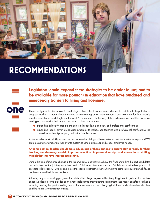# **RECOMMENDATIONS**



**Legislators should expand these strategies to be easier to use; and to be available for more positions in education that have outdated and unnecessary barriers to hiring and licensure.** 

**on these locally-initiated** Grow Your Own strategies allow school leaders to recruit educated adults with the potential to be great teachers – many already working or volunteering on a school campus - and train them for that school's specific educational model right on the local K-12 campus. In this way, future educators get real-life, hands-on training and apprentice their way to becoming a classroom teacher.

- Expanding Subject Matter Experts across all grade levels, subjects, and professional certifications.
- Expanding locally-driven preparation programs to include non-teaching and professional certifications like counselors, assistant principals, and instructional coaches.

As the world of work quickly evolves and modern workers bring a different set of expectations to the workplace, GYO strategies are more important than ever to customize school employer and school employee needs.

Arizona's school leaders should take advantage of these options to ensure staff is ready for their teaching-and-learning model, improve retention, improve diversity, and create local staffing models that improve interest in teaching.

During this time of immense change in the labor supply, most industries have the freedom to hire the best candidates and train them for the job they want them to do. Public education, much less so. But Arizona is in the best position of any state to leverage GYO tools and to use those tools to attract workers who want to come into education with fewer barriers or more flexible work options.

Allowing truly local training programs for adults with college degrees without requiring them to go back for another expensive degree, or to pay for coursework irrelevant to their teaching assignment, has many benefits for schools including meeting the specific staffing needs of schools versus schools changing their local models based on who they can find to hire who is already trained.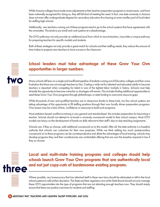While Arizona colleges have made some adjustments to their teacher preparation programs in recent years, and have been nationally recognized for doing so, they still fall short of meeting the need. In fact, one state university in Arizona does not even offer undergraduate degrees for secondary education thus leaving an even smaller pool of local talent for staffing high schools.

Additionally, new teachers coming out of these programs tend to go to the school systems that have agreements with the universities. This tends to put small and rural systems at a disadvantage.

The GYO pathways not only provide an additional pool from which to recruit teachers, it provides a unique pathway for preparing teachers for specific models and students.

Both of these strategies not only provide a great match for schools and their staffing needs, they reduce the amount of time it takes to prepare new teachers to have success in the classroom.



# **School leaders must take advantage of these Grow Your Own opportunities in larger numbers.**

Many schools still lean on a single and insufficient pipeline of students coming out of Education colleges and then voice frustration that there are not enough teachers to hire. Casting a wide net for talented and educated adults to become teachers is important when competing for talent in one of the tightest labor markets in history. Schools must help diversify the opportunity to become a teacher or shortages will remain. This includes finding additional opportunities to seed these Grow Your Own programs through philanthropic or state funding to overcome resource gaps.

While thousands of new and qualified teachers are in classrooms thanks to these tools, too few school systems are taking advantage of this opportunity to fill staffing positions through their own locally driven preparation programs. One reason may be a lack of time, confidence or resources to build such programs.

Most institution-based workforce training is very general and standardized, this includes preparation for becoming a teacher. Schools should not attempt to re-locate a university coursework model to their school campus. Most GYO models are heavy on the development of hands-on skills relevant to their staff's day-to-day teaching assignments.

Schools can, if they so choose, add additional coursework on to this model. After all, the state authority is a baseline authority that schools can customize for their own purposes. While we think adding too much postsecondary coursework on to these programs can be counterproductive and dilute the advantages of local training, schools may develop programs they and their constituencies are comfortable offering that are over the baseline required in law if they so choose.



**Local and multi-state training programs and colleges should help schools launch Grow Your Own programs that are authentically local three** and not just copy-cats of burdensome existing programs.

> Where possible, any bureaucracy that has attached itself to these new laws should be eliminated or left to the local school systems to add at their discretion. The State and their regulatory arm at the State Board should not over manage these GYO opportunities into the type of programs that are not attracting enough teachers now. They should simply ensure that there are positive outcomes for students and staffing.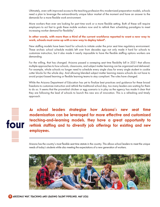Ultimately, even with improved access to the teaching profession thru modernized preparation models, schools need a plan to leverage the extraordinarily unique labor market of the moment and have an answer to the demands for a more flexible work environment.

More workers than ever are looking for part time work or a more flexible setting. Both of these will require employers to act fast to grab these mobile workers now and to rethink their scheduling paradigms to meet increasing worker demand for flexibility<sup>7</sup>.

In other words, with more than a third of the current workforce reported to want a new way to work, schools must come up with a new way to deploy talent<sup>8</sup>.

New staffing models have been hard for schools to initiate under the prior seat time regulatory environment. These archaic school schedule models left over from decades ago not only made it hard for schools to customize instruction, but it also made it nearly impossible to have the flexible staffing options workers are demanding.

For the willing, that has changed. Arizona passed a sweeping seat time flexibility bill in 2021 that allows multiple approaches to how schools, classrooms, and subject matter learning can be organized and delivered. For example, whole schools no longer need to schedule every single class for every single student in cookie cutter blocks for the whole day. And allowing blended subject matter learning means schools do not have to avoid project based learning or flexible learning teams to stay compliant. The rules have changed.

While the Arizona Department of Education has yet to finalize best practices and guidance for these broad freedoms to customize instruction and rethink the traditional school day, too many leaders are waiting for them to do so. It seems that the proverbial chicken or egg scenario is in play as the agency has made it clear that they are following the lead of schools to launch this new era of innovation. This is a refreshing and timely approach.



**As school leaders strategize how Arizona's new seat time modernization can be leveraged for more effective and customized teaching-and-learning models, they have a great opportunity to rethink staffing and to diversify job offerings for existing and new employees.**

Arizona has the country's most flexible seat time statute in the country. This allows school leaders to meet the unique needs of today's students while also meeting the expectations of a new generation of workers.

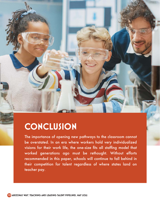# **CONCLUSION**

The importance of opening new pathways to the classroom cannot be overstated. In an era where workers hold very individualized visions for their work life, the one-size fits all staffing model that worked generations ago must be rethought. Without efforts recommended in this paper, schools will continue to fall behind in their competition for talent regardless of where states land on teacher pay.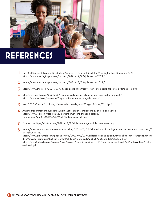

- The Most Unusual Job Market in Modern American History Explained: The Washington Post, December 2021 **1** https://www.washingtonpost.com/business/2021/12/29/job-market-2021/
- https://www.washingtonpost.com/business/2021/12/29/job-market-2021/ **2**
- https://www.cnbc.com/2021/09/03/gen-z-and-millennial-workers-are-leading-the-latest-quitting-spree-.html **3**
- https://www.wjhg.com/2021/06/16/new-study-shows-millennials-gen-zers-prefer-polywork/ **4** https://www.fool.com/research/20-percent-americans-changed-careers/
- Laws 2017, Chapter 245 https://www.azleg.gov/legtext/53leg/1R/laws/0245.pdf **5**
- Arizona Department of Education: Subject Matter Expert Certifications by Subject and School https://www.fool.com/research/20-percent-americans-changed-careers/ Fortune.com April 6, 2022 CEOS Want Workers Back Full Time **6**
- Fortune.com: https://fortune.com/2021/11/12/labor-shortage-us-labor-force-workers/ **7**
- https://www.forbes.com/sites/carolinecastrillon/2021/05/16/why-millions-of-employees-plan-to-switch-jobs-post-covid/?s h=13db0ec111e7 https://www.bizjournals.com/phoenix/news/2022/02/07/workforce-arizona-opportunity-risk.html?utm\_source=st&utm\_me dium=en&utm\_campaign=EX&utm\_content=ph&ana=e\_ph\_EX&j=26606700&senddate=2022-02-07 https://www2.deloitte.com/content/dam/insights/us/articles/4055\_FoW-GenZ-entry-level-work/4055\_FoW-GenZ-entry-l evel-work.pdf **8**